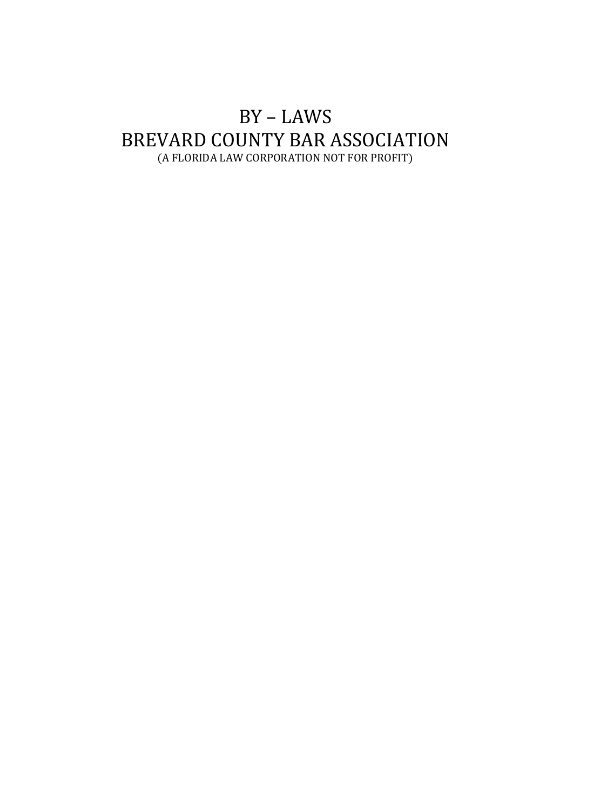# BY – LAWS BREVARD COUNTY BAR ASSOCIATION (A FLORIDA LAW CORPORATION NOT FOR PROFIT)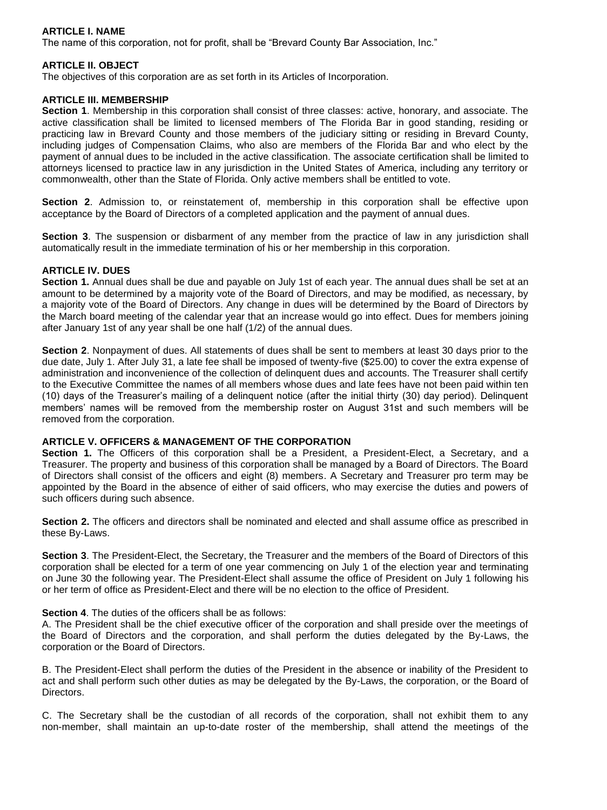# **ARTICLE I. NAME**

The name of this corporation, not for profit, shall be "Brevard County Bar Association, Inc."

## **ARTICLE II. OBJECT**

The objectives of this corporation are as set forth in its Articles of Incorporation.

#### **ARTICLE III. MEMBERSHIP**

**Section 1**. Membership in this corporation shall consist of three classes: active, honorary, and associate. The active classification shall be limited to licensed members of The Florida Bar in good standing, residing or practicing law in Brevard County and those members of the judiciary sitting or residing in Brevard County, including judges of Compensation Claims, who also are members of the Florida Bar and who elect by the payment of annual dues to be included in the active classification. The associate certification shall be limited to attorneys licensed to practice law in any jurisdiction in the United States of America, including any territory or commonwealth, other than the State of Florida. Only active members shall be entitled to vote.

**Section 2**. Admission to, or reinstatement of, membership in this corporation shall be effective upon acceptance by the Board of Directors of a completed application and the payment of annual dues.

**Section 3**. The suspension or disbarment of any member from the practice of law in any jurisdiction shall automatically result in the immediate termination of his or her membership in this corporation.

## **ARTICLE IV. DUES**

**Section 1.** Annual dues shall be due and payable on July 1st of each year. The annual dues shall be set at an amount to be determined by a majority vote of the Board of Directors, and may be modified, as necessary, by a majority vote of the Board of Directors. Any change in dues will be determined by the Board of Directors by the March board meeting of the calendar year that an increase would go into effect. Dues for members joining after January 1st of any year shall be one half (1/2) of the annual dues.

**Section 2**. Nonpayment of dues. All statements of dues shall be sent to members at least 30 days prior to the due date, July 1. After July 31, a late fee shall be imposed of twenty-five (\$25.00) to cover the extra expense of administration and inconvenience of the collection of delinquent dues and accounts. The Treasurer shall certify to the Executive Committee the names of all members whose dues and late fees have not been paid within ten (10) days of the Treasurer's mailing of a delinquent notice (after the initial thirty (30) day period). Delinquent members' names will be removed from the membership roster on August 31st and such members will be removed from the corporation.

# **ARTICLE V. OFFICERS & MANAGEMENT OF THE CORPORATION**

**Section 1.** The Officers of this corporation shall be a President, a President-Elect, a Secretary, and a Treasurer. The property and business of this corporation shall be managed by a Board of Directors. The Board of Directors shall consist of the officers and eight (8) members. A Secretary and Treasurer pro term may be appointed by the Board in the absence of either of said officers, who may exercise the duties and powers of such officers during such absence.

**Section 2.** The officers and directors shall be nominated and elected and shall assume office as prescribed in these By-Laws.

**Section 3**. The President-Elect, the Secretary, the Treasurer and the members of the Board of Directors of this corporation shall be elected for a term of one year commencing on July 1 of the election year and terminating on June 30 the following year. The President-Elect shall assume the office of President on July 1 following his or her term of office as President-Elect and there will be no election to the office of President.

#### **Section 4**. The duties of the officers shall be as follows:

A. The President shall be the chief executive officer of the corporation and shall preside over the meetings of the Board of Directors and the corporation, and shall perform the duties delegated by the By-Laws, the corporation or the Board of Directors.

B. The President-Elect shall perform the duties of the President in the absence or inability of the President to act and shall perform such other duties as may be delegated by the By-Laws, the corporation, or the Board of Directors.

C. The Secretary shall be the custodian of all records of the corporation, shall not exhibit them to any non-member, shall maintain an up-to-date roster of the membership, shall attend the meetings of the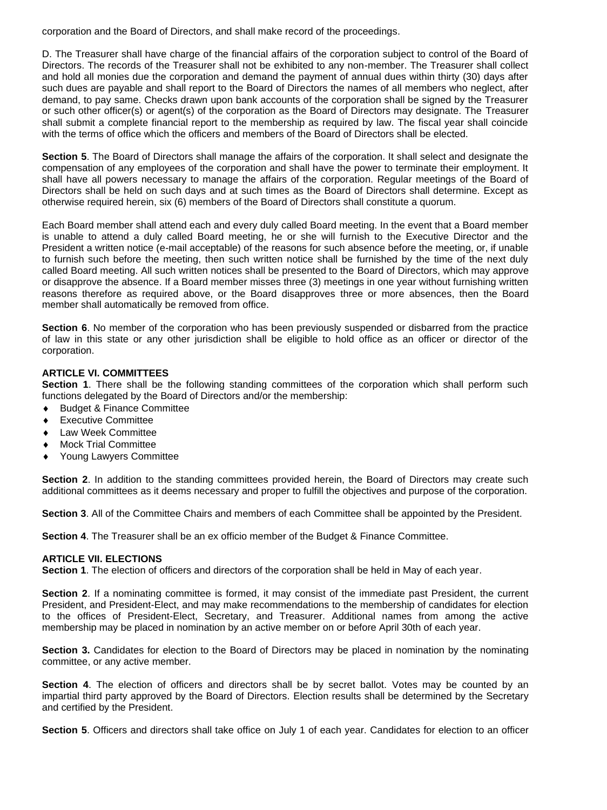corporation and the Board of Directors, and shall make record of the proceedings.

D. The Treasurer shall have charge of the financial affairs of the corporation subject to control of the Board of Directors. The records of the Treasurer shall not be exhibited to any non-member. The Treasurer shall collect and hold all monies due the corporation and demand the payment of annual dues within thirty (30) days after such dues are payable and shall report to the Board of Directors the names of all members who neglect, after demand, to pay same. Checks drawn upon bank accounts of the corporation shall be signed by the Treasurer or such other officer(s) or agent(s) of the corporation as the Board of Directors may designate. The Treasurer shall submit a complete financial report to the membership as required by law. The fiscal year shall coincide with the terms of office which the officers and members of the Board of Directors shall be elected.

**Section 5**. The Board of Directors shall manage the affairs of the corporation. It shall select and designate the compensation of any employees of the corporation and shall have the power to terminate their employment. It shall have all powers necessary to manage the affairs of the corporation. Regular meetings of the Board of Directors shall be held on such days and at such times as the Board of Directors shall determine. Except as otherwise required herein, six (6) members of the Board of Directors shall constitute a quorum.

Each Board member shall attend each and every duly called Board meeting. In the event that a Board member is unable to attend a duly called Board meeting, he or she will furnish to the Executive Director and the President a written notice (e-mail acceptable) of the reasons for such absence before the meeting, or, if unable to furnish such before the meeting, then such written notice shall be furnished by the time of the next duly called Board meeting. All such written notices shall be presented to the Board of Directors, which may approve or disapprove the absence. If a Board member misses three (3) meetings in one year without furnishing written reasons therefore as required above, or the Board disapproves three or more absences, then the Board member shall automatically be removed from office.

**Section 6.** No member of the corporation who has been previously suspended or disbarred from the practice of law in this state or any other jurisdiction shall be eligible to hold office as an officer or director of the corporation.

# **ARTICLE VI. COMMITTEES**

**Section 1**. There shall be the following standing committees of the corporation which shall perform such functions delegated by the Board of Directors and/or the membership:

- ◆ Budget & Finance Committee
- **Executive Committee**
- ◆ Law Week Committee
- Mock Trial Committee
- Young Lawyers Committee

Section 2. In addition to the standing committees provided herein, the Board of Directors may create such additional committees as it deems necessary and proper to fulfill the objectives and purpose of the corporation.

**Section 3**. All of the Committee Chairs and members of each Committee shall be appointed by the President.

**Section 4**. The Treasurer shall be an ex officio member of the Budget & Finance Committee.

#### **ARTICLE VII. ELECTIONS**

**Section 1**. The election of officers and directors of the corporation shall be held in May of each year.

**Section 2.** If a nominating committee is formed, it may consist of the immediate past President, the current President, and President-Elect, and may make recommendations to the membership of candidates for election to the offices of President-Elect, Secretary, and Treasurer. Additional names from among the active membership may be placed in nomination by an active member on or before April 30th of each year.

**Section 3.** Candidates for election to the Board of Directors may be placed in nomination by the nominating committee, or any active member.

**Section 4**. The election of officers and directors shall be by secret ballot. Votes may be counted by an impartial third party approved by the Board of Directors. Election results shall be determined by the Secretary and certified by the President.

**Section 5**. Officers and directors shall take office on July 1 of each year. Candidates for election to an officer